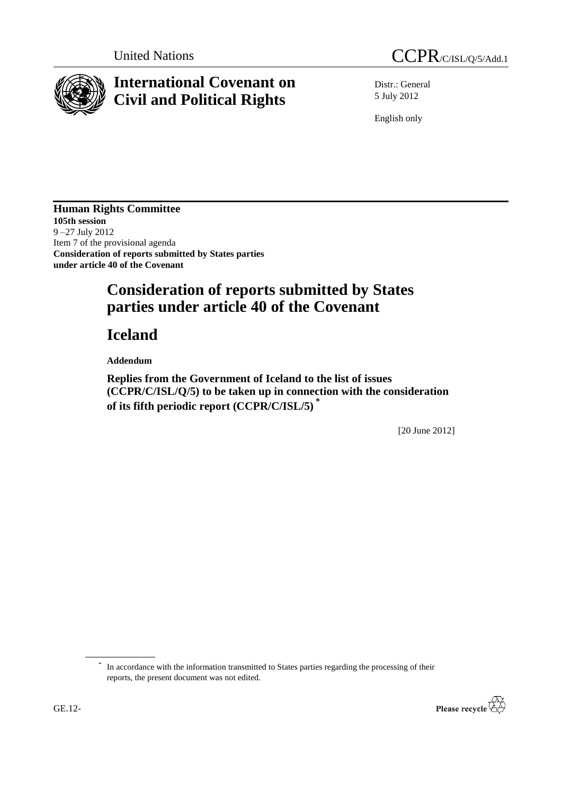

## **International Covenant on Civil and Political Rights**



Distr.: General 5 July 2012

English only

**Human Rights Committee 105th session** 9 –27 July 2012 Item 7 of the provisional agenda **Consideration of reports submitted by States parties under article 40 of the Covenant**

## **Consideration of reports submitted by States parties under article 40 of the Covenant**

## **Iceland**

**Addendum**

**Replies from the Government of Iceland to the list of issues (CCPR/C/ISL/Q/5) to be taken up in connection with the consideration of its fifth periodic report (CCPR/C/ISL/5) \***

[20 June 2012]

\* In accordance with the information transmitted to States parties regarding the processing of their reports, the present document was not edited.

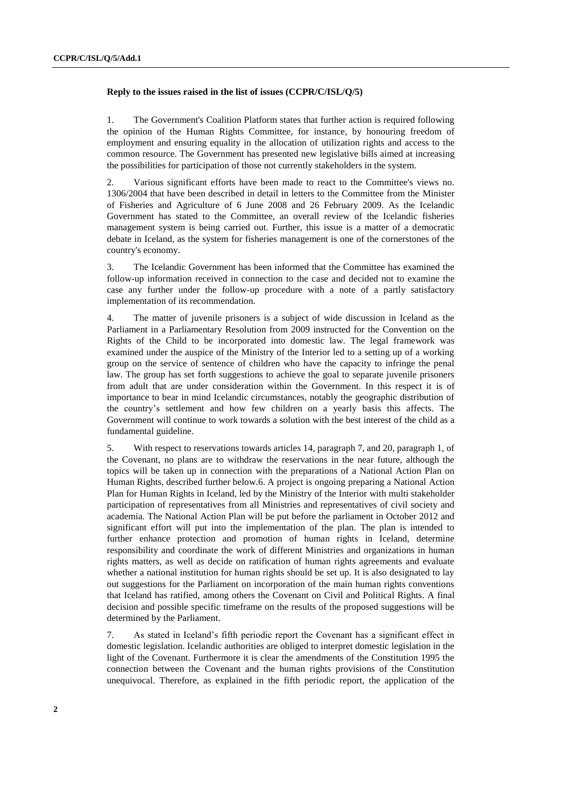## **Reply to the issues raised in the list of issues (CCPR/C/ISL/Q/5)**

1. The Government's Coalition Platform states that further action is required following the opinion of the Human Rights Committee, for instance, by honouring freedom of employment and ensuring equality in the allocation of utilization rights and access to the common resource. The Government has presented new legislative bills aimed at increasing the possibilities for participation of those not currently stakeholders in the system.

2. Various significant efforts have been made to react to the Committee's views no. 1306/2004 that have been described in detail in letters to the Committee from the Minister of Fisheries and Agriculture of 6 June 2008 and 26 February 2009. As the Icelandic Government has stated to the Committee, an overall review of the Icelandic fisheries management system is being carried out. Further, this issue is a matter of a democratic debate in Iceland, as the system for fisheries management is one of the cornerstones of the country's economy.

3. The Icelandic Government has been informed that the Committee has examined the follow-up information received in connection to the case and decided not to examine the case any further under the follow-up procedure with a note of a partly satisfactory implementation of its recommendation.

4. The matter of juvenile prisoners is a subject of wide discussion in Iceland as the Parliament in a Parliamentary Resolution from 2009 instructed for the Convention on the Rights of the Child to be incorporated into domestic law. The legal framework was examined under the auspice of the Ministry of the Interior led to a setting up of a working group on the service of sentence of children who have the capacity to infringe the penal law. The group has set forth suggestions to achieve the goal to separate juvenile prisoners from adult that are under consideration within the Government. In this respect it is of importance to bear in mind Icelandic circumstances, notably the geographic distribution of the country"s settlement and how few children on a yearly basis this affects. The Government will continue to work towards a solution with the best interest of the child as a fundamental guideline.

5. With respect to reservations towards articles 14, paragraph 7, and 20, paragraph 1, of the Covenant, no plans are to withdraw the reservations in the near future, although the topics will be taken up in connection with the preparations of a National Action Plan on Human Rights, described further below.6. A project is ongoing preparing a National Action Plan for Human Rights in Iceland, led by the Ministry of the Interior with multi stakeholder participation of representatives from all Ministries and representatives of civil society and academia. The National Action Plan will be put before the parliament in October 2012 and significant effort will put into the implementation of the plan. The plan is intended to further enhance protection and promotion of human rights in Iceland, determine responsibility and coordinate the work of different Ministries and organizations in human rights matters, as well as decide on ratification of human rights agreements and evaluate whether a national institution for human rights should be set up. It is also designated to lay out suggestions for the Parliament on incorporation of the main human rights conventions that Iceland has ratified, among others the Covenant on Civil and Political Rights. A final decision and possible specific timeframe on the results of the proposed suggestions will be determined by the Parliament.

7. As stated in Iceland"s fifth periodic report the Covenant has a significant effect in domestic legislation. Icelandic authorities are obliged to interpret domestic legislation in the light of the Covenant. Furthermore it is clear the amendments of the Constitution 1995 the connection between the Covenant and the human rights provisions of the Constitution unequivocal. Therefore, as explained in the fifth periodic report, the application of the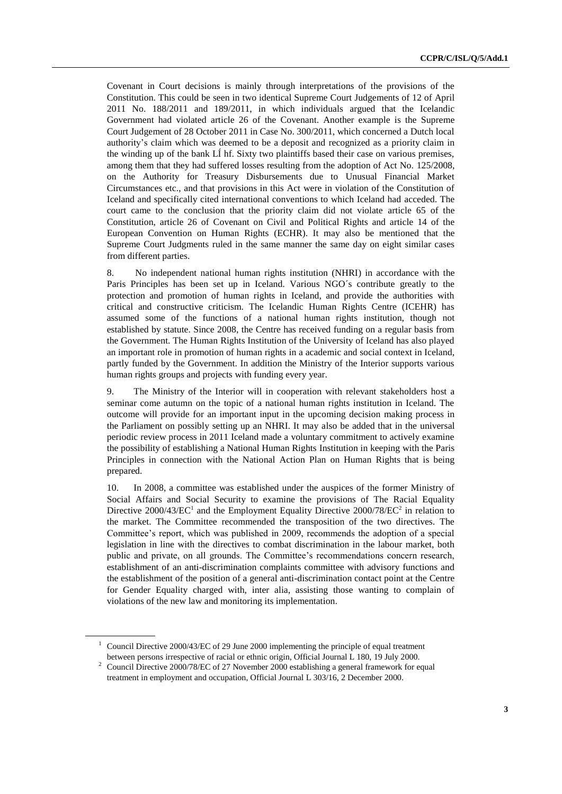Covenant in Court decisions is mainly through interpretations of the provisions of the Constitution. This could be seen in two identical Supreme Court Judgements of 12 of April 2011 No. 188/2011 and 189/2011, in which individuals argued that the Icelandic Government had violated article 26 of the Covenant. Another example is the Supreme Court Judgement of 28 October 2011 in Case No. 300/2011, which concerned a Dutch local authority"s claim which was deemed to be a deposit and recognized as a priority claim in the winding up of the bank LÍ hf. Sixty two plaintiffs based their case on various premises, among them that they had suffered losses resulting from the adoption of Act No. 125/2008, on the Authority for Treasury Disbursements due to Unusual Financial Market Circumstances etc., and that provisions in this Act were in violation of the Constitution of Iceland and specifically cited international conventions to which Iceland had acceded. The court came to the conclusion that the priority claim did not violate article 65 of the Constitution, article 26 of Covenant on Civil and Political Rights and article 14 of the European Convention on Human Rights (ECHR). It may also be mentioned that the Supreme Court Judgments ruled in the same manner the same day on eight similar cases from different parties.

8. No independent national human rights institution (NHRI) in accordance with the Paris Principles has been set up in Iceland. Various NGO´s contribute greatly to the protection and promotion of human rights in Iceland, and provide the authorities with critical and constructive criticism. The Icelandic Human Rights Centre (ICEHR) has assumed some of the functions of a national human rights institution, though not established by statute. Since 2008, the Centre has received funding on a regular basis from the Government. The Human Rights Institution of the University of Iceland has also played an important role in promotion of human rights in a academic and social context in Iceland, partly funded by the Government. In addition the Ministry of the Interior supports various human rights groups and projects with funding every year.

9. The Ministry of the Interior will in cooperation with relevant stakeholders host a seminar come autumn on the topic of a national human rights institution in Iceland. The outcome will provide for an important input in the upcoming decision making process in the Parliament on possibly setting up an NHRI. It may also be added that in the universal periodic review process in 2011 Iceland made a voluntary commitment to actively examine the possibility of establishing a National Human Rights Institution in keeping with the Paris Principles in connection with the National Action Plan on Human Rights that is being prepared.

10. In 2008, a committee was established under the auspices of the former Ministry of Social Affairs and Social Security to examine the provisions of The Racial Equality Directive 2000/43/ $EC^1$  and the Employment Equality Directive 2000/78/ $EC^2$  in relation to the market. The Committee recommended the transposition of the two directives. The Committee's report, which was published in 2009, recommends the adoption of a special legislation in line with the directives to combat discrimination in the labour market, both public and private, on all grounds. The Committee's recommendations concern research, establishment of an anti-discrimination complaints committee with advisory functions and the establishment of the position of a general anti-discrimination contact point at the Centre for Gender Equality charged with, inter alia, assisting those wanting to complain of violations of the new law and monitoring its implementation.

<sup>&</sup>lt;sup>1</sup> Council Directive 2000/43/EC of 29 June 2000 implementing the principle of equal treatment between persons irrespective of racial or ethnic origin, Official Journal L 180, 19 July 2000.

<sup>&</sup>lt;sup>2</sup> Council Directive 2000/78/EC of 27 November 2000 establishing a general framework for equal treatment in employment and occupation, Official Journal L 303/16, 2 December 2000.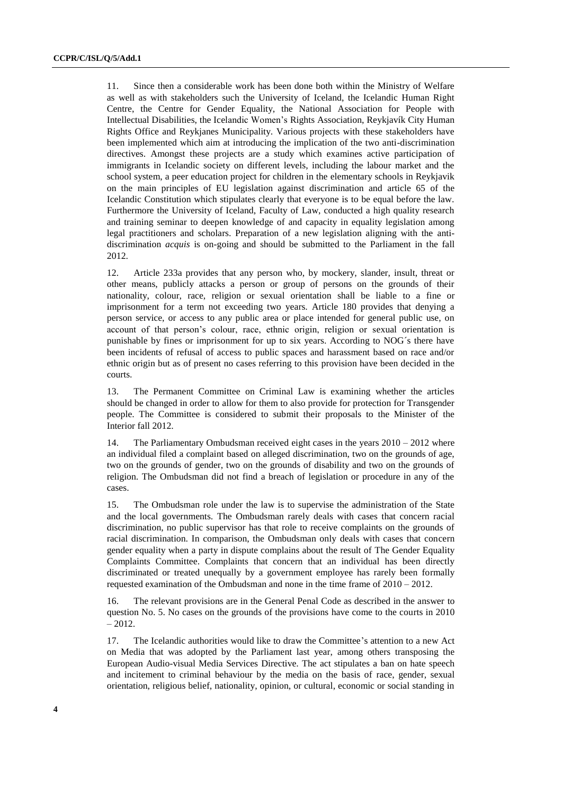11. Since then a considerable work has been done both within the Ministry of Welfare as well as with stakeholders such the University of Iceland, the Icelandic Human Right Centre, the Centre for Gender Equality, the National Association for People with Intellectual Disabilities, the Icelandic Women"s Rights Association, Reykjavík City Human Rights Office and Reykjanes Municipality. Various projects with these stakeholders have been implemented which aim at introducing the implication of the two anti-discrimination directives. Amongst these projects are a study which examines active participation of immigrants in Icelandic society on different levels, including the labour market and the school system, a peer education project for children in the elementary schools in Reykjavik on the main principles of EU legislation against discrimination and article 65 of the Icelandic Constitution which stipulates clearly that everyone is to be equal before the law. Furthermore the University of Iceland, Faculty of Law, conducted a high quality research and training seminar to deepen knowledge of and capacity in equality legislation among legal practitioners and scholars. Preparation of a new legislation aligning with the antidiscrimination *acquis* is on-going and should be submitted to the Parliament in the fall 2012.

12. Article 233a provides that any person who, by mockery, slander, insult, threat or other means, publicly attacks a person or group of persons on the grounds of their nationality, colour, race, religion or sexual orientation shall be liable to a fine or imprisonment for a term not exceeding two years. Article 180 provides that denying a person service, or access to any public area or place intended for general public use, on account of that person's colour, race, ethnic origin, religion or sexual orientation is punishable by fines or imprisonment for up to six years. According to NOG´s there have been incidents of refusal of access to public spaces and harassment based on race and/or ethnic origin but as of present no cases referring to this provision have been decided in the courts.

13. The Permanent Committee on Criminal Law is examining whether the articles should be changed in order to allow for them to also provide for protection for Transgender people. The Committee is considered to submit their proposals to the Minister of the Interior fall 2012.

14. The Parliamentary Ombudsman received eight cases in the years 2010 – 2012 where an individual filed a complaint based on alleged discrimination, two on the grounds of age, two on the grounds of gender, two on the grounds of disability and two on the grounds of religion. The Ombudsman did not find a breach of legislation or procedure in any of the cases.

15. The Ombudsman role under the law is to supervise the administration of the State and the local governments. The Ombudsman rarely deals with cases that concern racial discrimination, no public supervisor has that role to receive complaints on the grounds of racial discrimination. In comparison, the Ombudsman only deals with cases that concern gender equality when a party in dispute complains about the result of The Gender Equality Complaints Committee. Complaints that concern that an individual has been directly discriminated or treated unequally by a government employee has rarely been formally requested examination of the Ombudsman and none in the time frame of 2010 – 2012.

16. The relevant provisions are in the General Penal Code as described in the answer to question No. 5. No cases on the grounds of the provisions have come to the courts in 2010 – 2012.

17. The Icelandic authorities would like to draw the Committee"s attention to a new Act on Media that was adopted by the Parliament last year, among others transposing the European Audio-visual Media Services Directive. The act stipulates a ban on hate speech and incitement to criminal behaviour by the media on the basis of race, gender, sexual orientation, religious belief, nationality, opinion, or cultural, economic or social standing in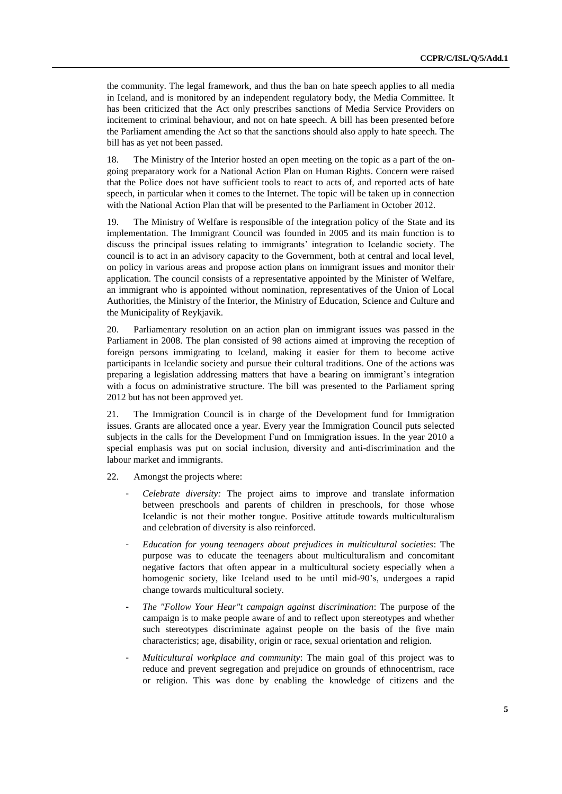the community. The legal framework, and thus the ban on hate speech applies to all media in Iceland, and is monitored by an independent regulatory body, the Media Committee. It has been criticized that the Act only prescribes sanctions of Media Service Providers on incitement to criminal behaviour, and not on hate speech. A bill has been presented before the Parliament amending the Act so that the sanctions should also apply to hate speech. The bill has as yet not been passed.

18. The Ministry of the Interior hosted an open meeting on the topic as a part of the ongoing preparatory work for a National Action Plan on Human Rights. Concern were raised that the Police does not have sufficient tools to react to acts of, and reported acts of hate speech, in particular when it comes to the Internet. The topic will be taken up in connection with the National Action Plan that will be presented to the Parliament in October 2012.

19. The Ministry of Welfare is responsible of the integration policy of the State and its implementation. The Immigrant Council was founded in 2005 and its main function is to discuss the principal issues relating to immigrants" integration to Icelandic society. The council is to act in an advisory capacity to the Government, both at central and local level, on policy in various areas and propose action plans on immigrant issues and monitor their application. The council consists of a representative appointed by the Minister of Welfare, an immigrant who is appointed without nomination, representatives of the Union of Local Authorities, the Ministry of the Interior, the Ministry of Education, Science and Culture and the Municipality of Reykjavik.

20. Parliamentary resolution on an action plan on immigrant issues was passed in the Parliament in 2008. The plan consisted of 98 actions aimed at improving the reception of foreign persons immigrating to Iceland, making it easier for them to become active participants in Icelandic society and pursue their cultural traditions. One of the actions was preparing a legislation addressing matters that have a bearing on immigrant"s integration with a focus on administrative structure. The bill was presented to the Parliament spring 2012 but has not been approved yet.

21. The Immigration Council is in charge of the Development fund for Immigration issues. Grants are allocated once a year. Every year the Immigration Council puts selected subjects in the calls for the Development Fund on Immigration issues. In the year 2010 a special emphasis was put on social inclusion, diversity and anti-discrimination and the labour market and immigrants.

22. Amongst the projects where:

- *Celebrate diversity:* The project aims to improve and translate information between preschools and parents of children in preschools, for those whose Icelandic is not their mother tongue. Positive attitude towards multiculturalism and celebration of diversity is also reinforced.
- *Education for young teenagers about prejudices in multicultural societies*: The purpose was to educate the teenagers about multiculturalism and concomitant negative factors that often appear in a multicultural society especially when a homogenic society, like Iceland used to be until mid-90"s, undergoes a rapid change towards multicultural society.
- *The "Follow Your Hear"t campaign against discrimination*: The purpose of the campaign is to make people aware of and to reflect upon stereotypes and whether such stereotypes discriminate against people on the basis of the five main characteristics; age, disability, origin or race, sexual orientation and religion.
- *Multicultural workplace and community*: The main goal of this project was to reduce and prevent segregation and prejudice on grounds of ethnocentrism, race or religion. This was done by enabling the knowledge of citizens and the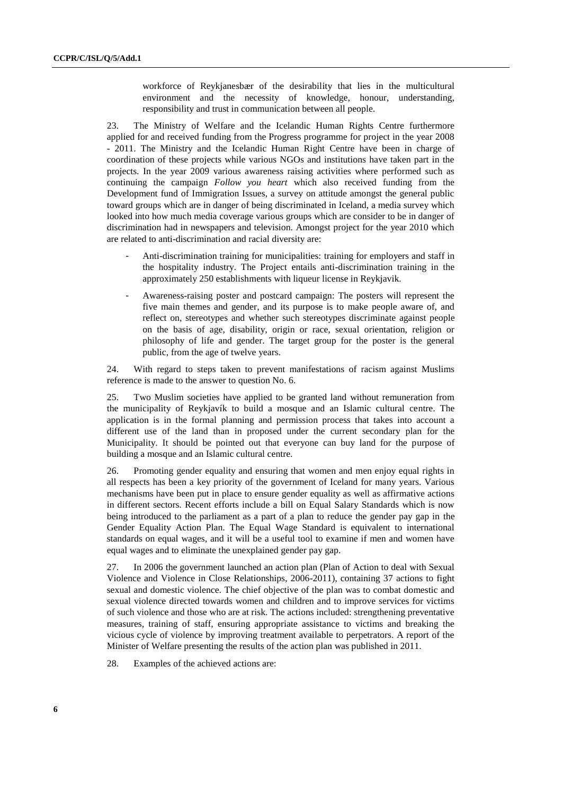workforce of Reykjanesbær of the desirability that lies in the multicultural environment and the necessity of knowledge, honour, understanding, responsibility and trust in communication between all people.

23. The Ministry of Welfare and the Icelandic Human Rights Centre furthermore applied for and received funding from the Progress programme for project in the year 2008 - 2011. The Ministry and the Icelandic Human Right Centre have been in charge of coordination of these projects while various NGOs and institutions have taken part in the projects. In the year 2009 various awareness raising activities where performed such as continuing the campaign *Follow you heart* which also received funding from the Development fund of Immigration Issues, a survey on attitude amongst the general public toward groups which are in danger of being discriminated in Iceland, a media survey which looked into how much media coverage various groups which are consider to be in danger of discrimination had in newspapers and television. Amongst project for the year 2010 which are related to anti-discrimination and racial diversity are:

- Anti-discrimination training for municipalities: training for employers and staff in the hospitality industry. The Project entails anti-discrimination training in the approximately 250 establishments with liqueur license in Reykjavik.
- Awareness-raising poster and postcard campaign: The posters will represent the five main themes and gender, and its purpose is to make people aware of, and reflect on, stereotypes and whether such stereotypes discriminate against people on the basis of age, disability, origin or race, sexual orientation, religion or philosophy of life and gender. The target group for the poster is the general public, from the age of twelve years.

24. With regard to steps taken to prevent manifestations of racism against Muslims reference is made to the answer to question No. 6.

25. Two Muslim societies have applied to be granted land without remuneration from the municipality of Reykjavík to build a mosque and an Islamic cultural centre. The application is in the formal planning and permission process that takes into account a different use of the land than in proposed under the current secondary plan for the Municipality. It should be pointed out that everyone can buy land for the purpose of building a mosque and an Islamic cultural centre.

26. Promoting gender equality and ensuring that women and men enjoy equal rights in all respects has been a key priority of the government of Iceland for many years. Various mechanisms have been put in place to ensure gender equality as well as affirmative actions in different sectors. Recent efforts include a bill on Equal Salary Standards which is now being introduced to the parliament as a part of a plan to reduce the gender pay gap in the Gender Equality Action Plan. The Equal Wage Standard is equivalent to international standards on equal wages, and it will be a useful tool to examine if men and women have equal wages and to eliminate the unexplained gender pay gap.

27. In 2006 the government launched an action plan (Plan of Action to deal with Sexual Violence and Violence in Close Relationships, 2006-2011), containing 37 actions to fight sexual and domestic violence. The chief objective of the plan was to combat domestic and sexual violence directed towards women and children and to improve services for victims of such violence and those who are at risk. The actions included: strengthening preventative measures, training of staff, ensuring appropriate assistance to victims and breaking the vicious cycle of violence by improving treatment available to perpetrators. A report of the Minister of Welfare presenting the results of the action plan was published in 2011.

28. Examples of the achieved actions are: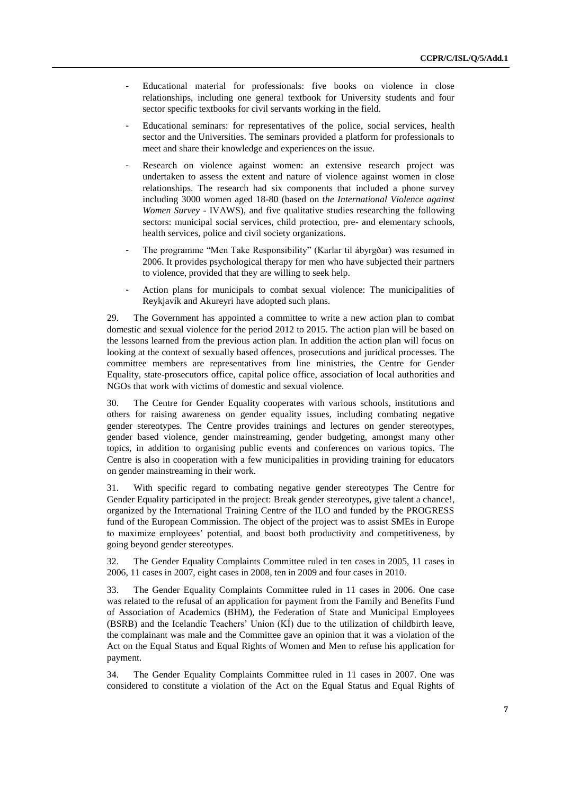- Educational material for professionals: five books on violence in close relationships, including one general textbook for University students and four sector specific textbooks for civil servants working in the field.
- Educational seminars: for representatives of the police, social services, health sector and the Universities. The seminars provided a platform for professionals to meet and share their knowledge and experiences on the issue.
- Research on violence against women: an extensive research project was undertaken to assess the extent and nature of violence against women in close relationships. The research had six components that included a phone survey including 3000 women aged 18-80 (based on t*he International Violence against Women Survey* - IVAWS), and five qualitative studies researching the following sectors: municipal social services, child protection, pre- and elementary schools, health services, police and civil society organizations.
- The programme "Men Take Responsibility" (Karlar til ábyrgðar) was resumed in 2006. It provides psychological therapy for men who have subjected their partners to violence, provided that they are willing to seek help.
- Action plans for municipals to combat sexual violence: The municipalities of Reykjavík and Akureyri have adopted such plans.

29. The Government has appointed a committee to write a new action plan to combat domestic and sexual violence for the period 2012 to 2015. The action plan will be based on the lessons learned from the previous action plan. In addition the action plan will focus on looking at the context of sexually based offences, prosecutions and juridical processes. The committee members are representatives from line ministries, the Centre for Gender Equality, state-prosecutors office, capital police office, association of local authorities and NGOs that work with victims of domestic and sexual violence.

30. The Centre for Gender Equality cooperates with various schools, institutions and others for raising awareness on gender equality issues, including combating negative gender stereotypes. The Centre provides trainings and lectures on gender stereotypes, gender based violence, gender mainstreaming, gender budgeting, amongst many other topics, in addition to organising public events and conferences on various topics. The Centre is also in cooperation with a few municipalities in providing training for educators on gender mainstreaming in their work.

31. With specific regard to combating negative gender stereotypes The Centre for Gender Equality participated in the project: Break gender stereotypes, give talent a chance!, organized by the International Training Centre of the ILO and funded by the PROGRESS fund of the European Commission. The object of the project was to assist SMEs in Europe to maximize employees" potential, and boost both productivity and competitiveness, by going beyond gender stereotypes.

32. The Gender Equality Complaints Committee ruled in ten cases in 2005, 11 cases in 2006, 11 cases in 2007, eight cases in 2008, ten in 2009 and four cases in 2010.

33. The Gender Equality Complaints Committee ruled in 11 cases in 2006. One case was related to the refusal of an application for payment from the Family and Benefits Fund of Association of Academics (BHM), the Federation of State and Municipal Employees  $(BSRB)$  and the Icelandic Teachers' Union  $(KI)$  due to the utilization of childbirth leave, the complainant was male and the Committee gave an opinion that it was a violation of the Act on the Equal Status and Equal Rights of Women and Men to refuse his application for payment.

34. The Gender Equality Complaints Committee ruled in 11 cases in 2007. One was considered to constitute a violation of the Act on the Equal Status and Equal Rights of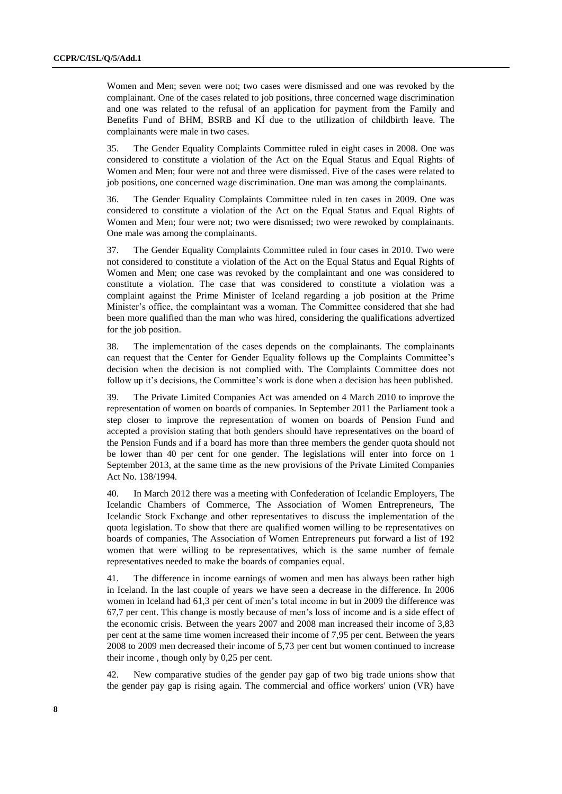Women and Men; seven were not; two cases were dismissed and one was revoked by the complainant. One of the cases related to job positions, three concerned wage discrimination and one was related to the refusal of an application for payment from the Family and Benefits Fund of BHM, BSRB and KÍ due to the utilization of childbirth leave. The complainants were male in two cases.

35. The Gender Equality Complaints Committee ruled in eight cases in 2008. One was considered to constitute a violation of the Act on the Equal Status and Equal Rights of Women and Men; four were not and three were dismissed. Five of the cases were related to job positions, one concerned wage discrimination. One man was among the complainants.

36. The Gender Equality Complaints Committee ruled in ten cases in 2009. One was considered to constitute a violation of the Act on the Equal Status and Equal Rights of Women and Men; four were not; two were dismissed; two were rewoked by complainants. One male was among the complainants.

37. The Gender Equality Complaints Committee ruled in four cases in 2010. Two were not considered to constitute a violation of the Act on the Equal Status and Equal Rights of Women and Men; one case was revoked by the complaintant and one was considered to constitute a violation. The case that was considered to constitute a violation was a complaint against the Prime Minister of Iceland regarding a job position at the Prime Minister"s office, the complaintant was a woman. The Committee considered that she had been more qualified than the man who was hired, considering the qualifications advertized for the job position.

38. The implementation of the cases depends on the complainants. The complainants can request that the Center for Gender Equality follows up the Complaints Committee"s decision when the decision is not complied with. The Complaints Committee does not follow up it's decisions, the Committee's work is done when a decision has been published.

39. The Private Limited Companies Act was amended on 4 March 2010 to improve the representation of women on boards of companies. In September 2011 the Parliament took a step closer to improve the representation of women on boards of Pension Fund and accepted a provision stating that both genders should have representatives on the board of the Pension Funds and if a board has more than three members the gender quota should not be lower than 40 per cent for one gender. The legislations will enter into force on 1 September 2013, at the same time as the new provisions of the Private Limited Companies Act No. 138/1994.

40. In March 2012 there was a meeting with Confederation of Icelandic Employers, The Icelandic Chambers of Commerce, The Association of Women Entrepreneurs, The Icelandic Stock Exchange and other representatives to discuss the implementation of the quota legislation. To show that there are qualified women willing to be representatives on boards of companies, The Association of Women Entrepreneurs put forward a list of 192 women that were willing to be representatives, which is the same number of female representatives needed to make the boards of companies equal.

41. The difference in income earnings of women and men has always been rather high in Iceland. In the last couple of years we have seen a decrease in the difference. In 2006 women in Iceland had 61,3 per cent of men"s total income in but in 2009 the difference was 67,7 per cent. This change is mostly because of men"s loss of income and is a side effect of the economic crisis. Between the years 2007 and 2008 man increased their income of 3,83 per cent at the same time women increased their income of 7,95 per cent. Between the years 2008 to 2009 men decreased their income of 5,73 per cent but women continued to increase their income , though only by 0,25 per cent.

42. New comparative studies of the gender pay gap of two big trade unions show that the gender pay gap is rising again. The commercial and office workers' union (VR) have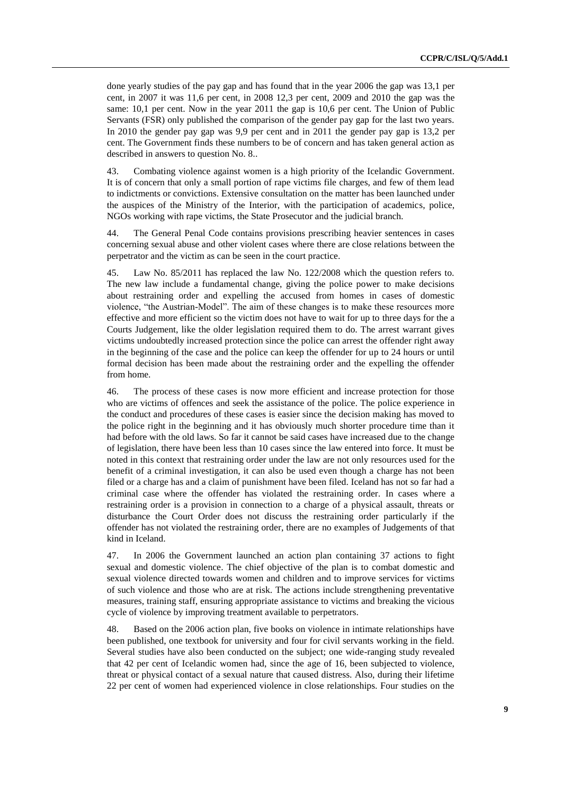done yearly studies of the pay gap and has found that in the year 2006 the gap was 13,1 per cent, in 2007 it was 11,6 per cent, in 2008 12,3 per cent, 2009 and 2010 the gap was the same: 10,1 per cent. Now in the year 2011 the gap is 10,6 per cent. The Union of Public Servants (FSR) only published the comparison of the gender pay gap for the last two years. In 2010 the gender pay gap was 9,9 per cent and in 2011 the gender pay gap is 13,2 per cent. The Government finds these numbers to be of concern and has taken general action as described in answers to question No. 8..

43. Combating violence against women is a high priority of the Icelandic Government. It is of concern that only a small portion of rape victims file charges, and few of them lead to indictments or convictions. Extensive consultation on the matter has been launched under the auspices of the Ministry of the Interior, with the participation of academics, police, NGOs working with rape victims, the State Prosecutor and the judicial branch.

44. The General Penal Code contains provisions prescribing heavier sentences in cases concerning sexual abuse and other violent cases where there are close relations between the perpetrator and the victim as can be seen in the court practice.

45. Law No. 85/2011 has replaced the law No. 122/2008 which the question refers to. The new law include a fundamental change, giving the police power to make decisions about restraining order and expelling the accused from homes in cases of domestic violence, "the Austrian-Model". The aim of these changes is to make these resources more effective and more efficient so the victim does not have to wait for up to three days for the a Courts Judgement, like the older legislation required them to do. The arrest warrant gives victims undoubtedly increased protection since the police can arrest the offender right away in the beginning of the case and the police can keep the offender for up to 24 hours or until formal decision has been made about the restraining order and the expelling the offender from home.

46. The process of these cases is now more efficient and increase protection for those who are victims of offences and seek the assistance of the police. The police experience in the conduct and procedures of these cases is easier since the decision making has moved to the police right in the beginning and it has obviously much shorter procedure time than it had before with the old laws. So far it cannot be said cases have increased due to the change of legislation, there have been less than 10 cases since the law entered into force. It must be noted in this context that restraining order under the law are not only resources used for the benefit of a criminal investigation, it can also be used even though a charge has not been filed or a charge has and a claim of punishment have been filed. Iceland has not so far had a criminal case where the offender has violated the restraining order. In cases where a restraining order is a provision in connection to a charge of a physical assault, threats or disturbance the Court Order does not discuss the restraining order particularly if the offender has not violated the restraining order, there are no examples of Judgements of that kind in Iceland.

47. In 2006 the Government launched an action plan containing 37 actions to fight sexual and domestic violence. The chief objective of the plan is to combat domestic and sexual violence directed towards women and children and to improve services for victims of such violence and those who are at risk. The actions include strengthening preventative measures, training staff, ensuring appropriate assistance to victims and breaking the vicious cycle of violence by improving treatment available to perpetrators.

48. Based on the 2006 action plan, five books on violence in intimate relationships have been published, one textbook for university and four for civil servants working in the field. Several studies have also been conducted on the subject; one wide-ranging study revealed that 42 per cent of Icelandic women had, since the age of 16, been subjected to violence, threat or physical contact of a sexual nature that caused distress. Also, during their lifetime 22 per cent of women had experienced violence in close relationships. Four studies on the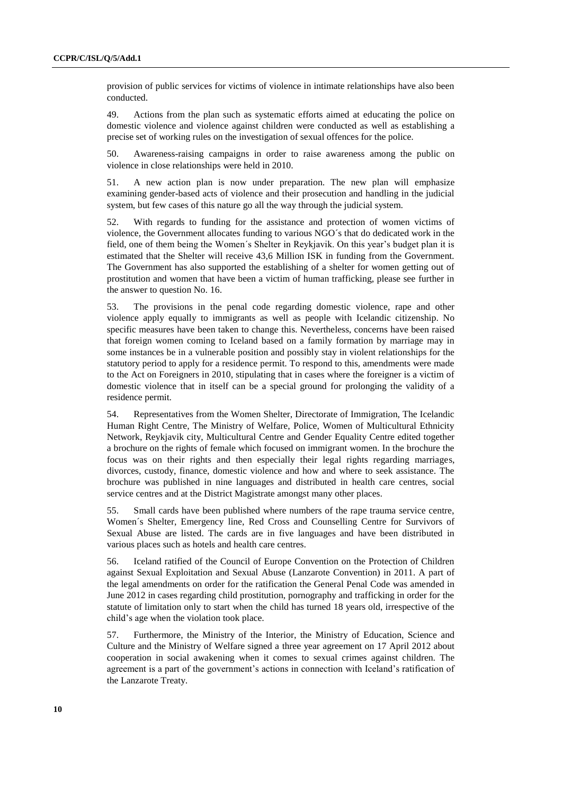provision of public services for victims of violence in intimate relationships have also been conducted.

49. Actions from the plan such as systematic efforts aimed at educating the police on domestic violence and violence against children were conducted as well as establishing a precise set of working rules on the investigation of sexual offences for the police.

50. Awareness-raising campaigns in order to raise awareness among the public on violence in close relationships were held in 2010.

51. A new action plan is now under preparation. The new plan will emphasize examining gender-based acts of violence and their prosecution and handling in the judicial system, but few cases of this nature go all the way through the judicial system.

52. With regards to funding for the assistance and protection of women victims of violence, the Government allocates funding to various NGO´s that do dedicated work in the field, one of them being the Women´s Shelter in Reykjavik. On this year"s budget plan it is estimated that the Shelter will receive 43,6 Million ISK in funding from the Government. The Government has also supported the establishing of a shelter for women getting out of prostitution and women that have been a victim of human trafficking, please see further in the answer to question No. 16.

53. The provisions in the penal code regarding domestic violence, rape and other violence apply equally to immigrants as well as people with Icelandic citizenship. No specific measures have been taken to change this. Nevertheless, concerns have been raised that foreign women coming to Iceland based on a family formation by marriage may in some instances be in a vulnerable position and possibly stay in violent relationships for the statutory period to apply for a residence permit. To respond to this, amendments were made to the Act on Foreigners in 2010, stipulating that in cases where the foreigner is a victim of domestic violence that in itself can be a special ground for prolonging the validity of a residence permit.

54. Representatives from the Women Shelter, Directorate of Immigration, The Icelandic Human Right Centre, The Ministry of Welfare, Police, Women of Multicultural Ethnicity Network, Reykjavik city, Multicultural Centre and Gender Equality Centre edited together a brochure on the rights of female which focused on immigrant women. In the brochure the focus was on their rights and then especially their legal rights regarding marriages, divorces, custody, finance, domestic violence and how and where to seek assistance. The brochure was published in nine languages and distributed in health care centres, social service centres and at the District Magistrate amongst many other places.

55. Small cards have been published where numbers of the rape trauma service centre, Women´s Shelter, Emergency line, Red Cross and Counselling Centre for Survivors of Sexual Abuse are listed. The cards are in five languages and have been distributed in various places such as hotels and health care centres.

56. Iceland ratified of the Council of Europe Convention on the Protection of Children against Sexual Exploitation and Sexual Abuse (Lanzarote Convention) in 2011. A part of the legal amendments on order for the ratification the General Penal Code was amended in June 2012 in cases regarding child prostitution, pornography and trafficking in order for the statute of limitation only to start when the child has turned 18 years old, irrespective of the child"s age when the violation took place.

57. Furthermore, the Ministry of the Interior, the Ministry of Education, Science and Culture and the Ministry of Welfare signed a three year agreement on 17 April 2012 about cooperation in social awakening when it comes to sexual crimes against children. The agreement is a part of the government's actions in connection with Iceland's ratification of the Lanzarote Treaty.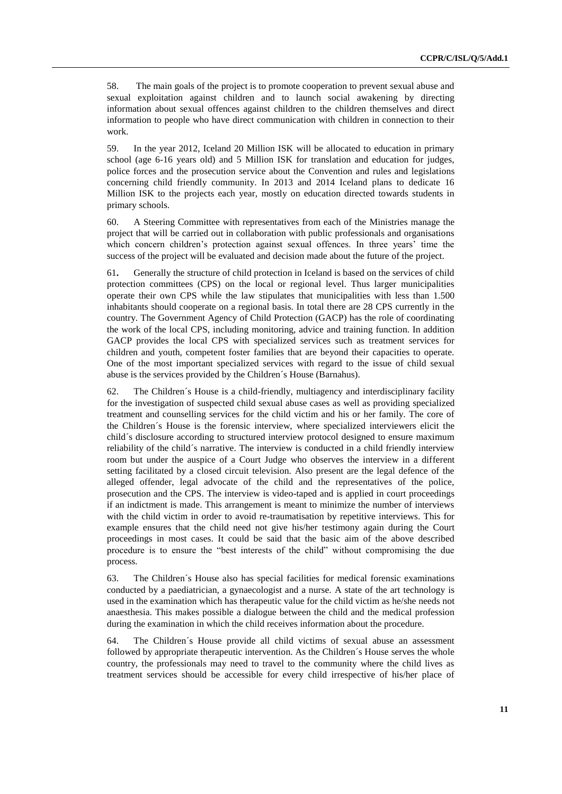58. The main goals of the project is to promote cooperation to prevent sexual abuse and sexual exploitation against children and to launch social awakening by directing information about sexual offences against children to the children themselves and direct information to people who have direct communication with children in connection to their work.

59. In the year 2012, Iceland 20 Million ISK will be allocated to education in primary school (age 6-16 years old) and 5 Million ISK for translation and education for judges, police forces and the prosecution service about the Convention and rules and legislations concerning child friendly community. In 2013 and 2014 Iceland plans to dedicate 16 Million ISK to the projects each year, mostly on education directed towards students in primary schools.

60. A Steering Committee with representatives from each of the Ministries manage the project that will be carried out in collaboration with public professionals and organisations which concern children's protection against sexual offences. In three years' time the success of the project will be evaluated and decision made about the future of the project.

61**.** Generally the structure of child protection in Iceland is based on the services of child protection committees (CPS) on the local or regional level. Thus larger municipalities operate their own CPS while the law stipulates that municipalities with less than 1.500 inhabitants should cooperate on a regional basis. In total there are 28 CPS currently in the country. The Government Agency of Child Protection (GACP) has the role of coordinating the work of the local CPS, including monitoring, advice and training function. In addition GACP provides the local CPS with specialized services such as treatment services for children and youth, competent foster families that are beyond their capacities to operate. One of the most important specialized services with regard to the issue of child sexual abuse is the services provided by the Children´s House (Barnahus).

62. The Children´s House is a child-friendly, multiagency and interdisciplinary facility for the investigation of suspected child sexual abuse cases as well as providing specialized treatment and counselling services for the child victim and his or her family. The core of the Children´s House is the forensic interview, where specialized interviewers elicit the child´s disclosure according to structured interview protocol designed to ensure maximum reliability of the child´s narrative. The interview is conducted in a child friendly interview room but under the auspice of a Court Judge who observes the interview in a different setting facilitated by a closed circuit television. Also present are the legal defence of the alleged offender, legal advocate of the child and the representatives of the police, prosecution and the CPS. The interview is video-taped and is applied in court proceedings if an indictment is made. This arrangement is meant to minimize the number of interviews with the child victim in order to avoid re-traumatisation by repetitive interviews. This for example ensures that the child need not give his/her testimony again during the Court proceedings in most cases. It could be said that the basic aim of the above described procedure is to ensure the "best interests of the child" without compromising the due process.

63. The Children´s House also has special facilities for medical forensic examinations conducted by a paediatrician, a gynaecologist and a nurse. A state of the art technology is used in the examination which has therapeutic value for the child victim as he/she needs not anaesthesia. This makes possible a dialogue between the child and the medical profession during the examination in which the child receives information about the procedure.

64. The Children´s House provide all child victims of sexual abuse an assessment followed by appropriate therapeutic intervention. As the Children´s House serves the whole country, the professionals may need to travel to the community where the child lives as treatment services should be accessible for every child irrespective of his/her place of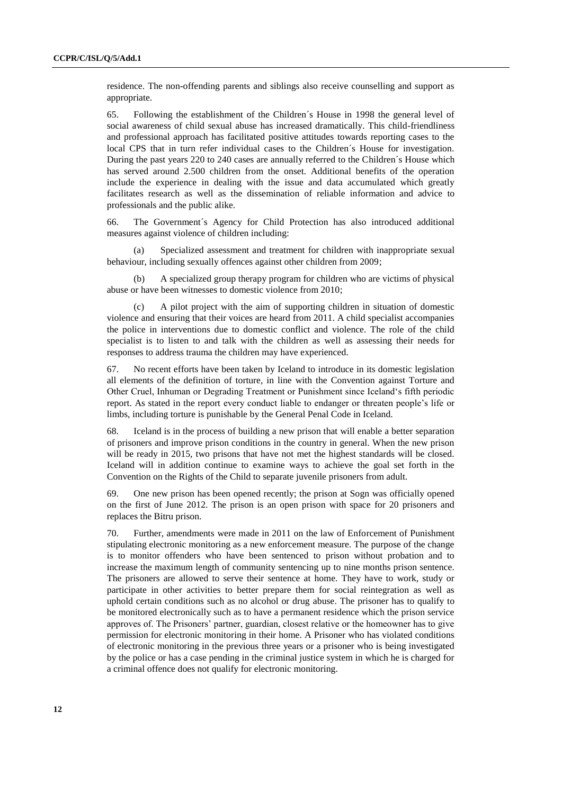residence. The non-offending parents and siblings also receive counselling and support as appropriate.

65. Following the establishment of the Children´s House in 1998 the general level of social awareness of child sexual abuse has increased dramatically. This child-friendliness and professional approach has facilitated positive attitudes towards reporting cases to the local CPS that in turn refer individual cases to the Children´s House for investigation. During the past years 220 to 240 cases are annually referred to the Children´s House which has served around 2.500 children from the onset. Additional benefits of the operation include the experience in dealing with the issue and data accumulated which greatly facilitates research as well as the dissemination of reliable information and advice to professionals and the public alike.

66. The Government´s Agency for Child Protection has also introduced additional measures against violence of children including:

(a) Specialized assessment and treatment for children with inappropriate sexual behaviour, including sexually offences against other children from 2009;

(b) A specialized group therapy program for children who are victims of physical abuse or have been witnesses to domestic violence from 2010;

(c) A pilot project with the aim of supporting children in situation of domestic violence and ensuring that their voices are heard from 2011. A child specialist accompanies the police in interventions due to domestic conflict and violence. The role of the child specialist is to listen to and talk with the children as well as assessing their needs for responses to address trauma the children may have experienced.

67. No recent efforts have been taken by Iceland to introduce in its domestic legislation all elements of the definition of torture, in line with the Convention against Torture and Other Cruel, Inhuman or Degrading Treatment or Punishment since Iceland"s fifth periodic report. As stated in the report every conduct liable to endanger or threaten people"s life or limbs, including torture is punishable by the General Penal Code in Iceland.

68. Iceland is in the process of building a new prison that will enable a better separation of prisoners and improve prison conditions in the country in general. When the new prison will be ready in 2015, two prisons that have not met the highest standards will be closed. Iceland will in addition continue to examine ways to achieve the goal set forth in the Convention on the Rights of the Child to separate juvenile prisoners from adult.

69. One new prison has been opened recently; the prison at Sogn was officially opened on the first of June 2012. The prison is an open prison with space for 20 prisoners and replaces the Bitru prison.

70. Further, amendments were made in 2011 on the law of Enforcement of Punishment stipulating electronic monitoring as a new enforcement measure. The purpose of the change is to monitor offenders who have been sentenced to prison without probation and to increase the maximum length of community sentencing up to nine months prison sentence. The prisoners are allowed to serve their sentence at home. They have to work, study or participate in other activities to better prepare them for social reintegration as well as uphold certain conditions such as no alcohol or drug abuse. The prisoner has to qualify to be monitored electronically such as to have a permanent residence which the prison service approves of. The Prisoners" partner, guardian, closest relative or the homeowner has to give permission for electronic monitoring in their home. A Prisoner who has violated conditions of electronic monitoring in the previous three years or a prisoner who is being investigated by the police or has a case pending in the criminal justice system in which he is charged for a criminal offence does not qualify for electronic monitoring.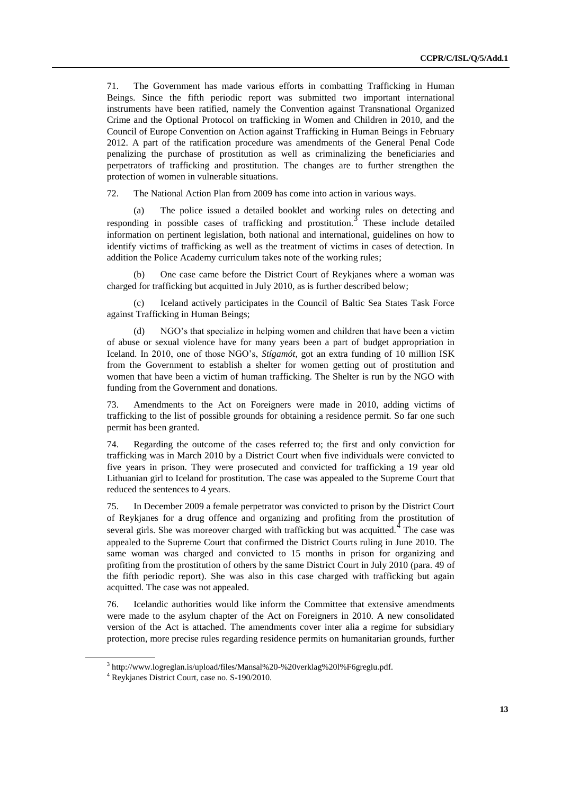71. The Government has made various efforts in combatting Trafficking in Human Beings. Since the fifth periodic report was submitted two important international instruments have been ratified, namely the Convention against Transnational Organized Crime and the Optional Protocol on trafficking in Women and Children in 2010, and the Council of Europe Convention on Action against Trafficking in Human Beings in February 2012. A part of the ratification procedure was amendments of the General Penal Code penalizing the purchase of prostitution as well as criminalizing the beneficiaries and perpetrators of trafficking and prostitution. The changes are to further strengthen the protection of women in vulnerable situations.

72. The National Action Plan from 2009 has come into action in various ways.

(a) The police issued a detailed booklet and working rules on detecting and responding in possible cases of trafficking and prostitution.<sup>3</sup> These include detailed information on pertinent legislation, both national and international, guidelines on how to identify victims of trafficking as well as the treatment of victims in cases of detection. In addition the Police Academy curriculum takes note of the working rules;

One case came before the District Court of Reykjanes where a woman was charged for trafficking but acquitted in July 2010, as is further described below;

(c) Iceland actively participates in the Council of Baltic Sea States Task Force against Trafficking in Human Beings;

(d) NGO"s that specialize in helping women and children that have been a victim of abuse or sexual violence have for many years been a part of budget appropriation in Iceland. In 2010, one of those NGO"s, *Stígamót*, got an extra funding of 10 million ISK from the Government to establish a shelter for women getting out of prostitution and women that have been a victim of human trafficking. The Shelter is run by the NGO with funding from the Government and donations.

73. Amendments to the Act on Foreigners were made in 2010, adding victims of trafficking to the list of possible grounds for obtaining a residence permit. So far one such permit has been granted.

74. Regarding the outcome of the cases referred to; the first and only conviction for trafficking was in March 2010 by a District Court when five individuals were convicted to five years in prison. They were prosecuted and convicted for trafficking a 19 year old Lithuanian girl to Iceland for prostitution. The case was appealed to the Supreme Court that reduced the sentences to 4 years.

75. In December 2009 a female perpetrator was convicted to prison by the District Court of Reykjanes for a drug offence and organizing and profiting from the prostitution of several girls. She was moreover charged with trafficking but was acquitted.  $\overline{4}$  The case was appealed to the Supreme Court that confirmed the District Courts ruling in June 2010. The same woman was charged and convicted to 15 months in prison for organizing and profiting from the prostitution of others by the same District Court in July 2010 (para. 49 of the fifth periodic report). She was also in this case charged with trafficking but again acquitted. The case was not appealed.

76. Icelandic authorities would like inform the Committee that extensive amendments were made to the asylum chapter of the Act on Foreigners in 2010. A new consolidated version of the Act is attached. The amendments cover inter alia a regime for subsidiary protection, more precise rules regarding residence permits on humanitarian grounds, further

<sup>3</sup> [http://www.logreglan.is/upload/files/Mansal%20-%20verklag%20l%F6greglu.pdf.](http://www.logreglan.is/upload/files/Mansal%20-%20verklag%20l%F6greglu.pdf)

<sup>4</sup> Reykjanes District Court, case no. S-190/2010.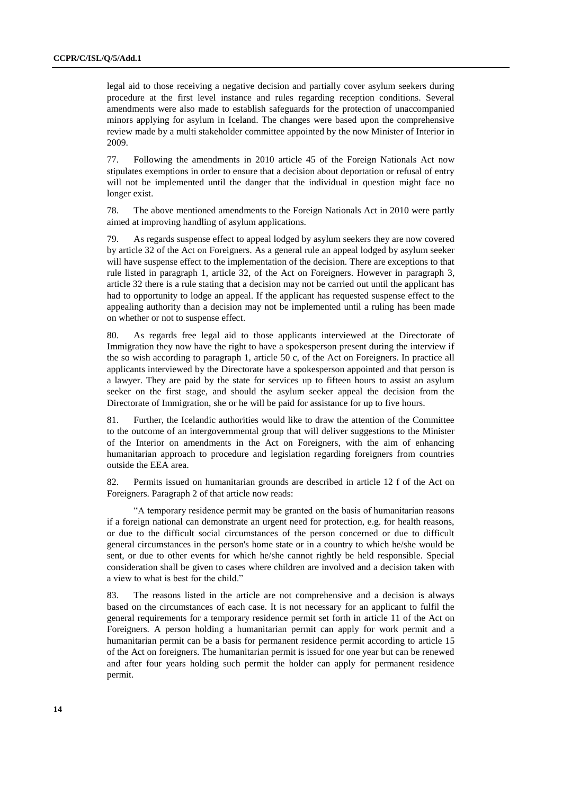legal aid to those receiving a negative decision and partially cover asylum seekers during procedure at the first level instance and rules regarding reception conditions. Several amendments were also made to establish safeguards for the protection of unaccompanied minors applying for asylum in Iceland. The changes were based upon the comprehensive review made by a multi stakeholder committee appointed by the now Minister of Interior in 2009.

77. Following the amendments in 2010 article 45 of the Foreign Nationals Act now stipulates exemptions in order to ensure that a decision about deportation or refusal of entry will not be implemented until the danger that the individual in question might face no longer exist.

78. The above mentioned amendments to the Foreign Nationals Act in 2010 were partly aimed at improving handling of asylum applications.

79. As regards suspense effect to appeal lodged by asylum seekers they are now covered by article 32 of the Act on Foreigners. As a general rule an appeal lodged by asylum seeker will have suspense effect to the implementation of the decision. There are exceptions to that rule listed in paragraph 1, article 32, of the Act on Foreigners. However in paragraph 3, article 32 there is a rule stating that a decision may not be carried out until the applicant has had to opportunity to lodge an appeal. If the applicant has requested suspense effect to the appealing authority than a decision may not be implemented until a ruling has been made on whether or not to suspense effect.

80. As regards free legal aid to those applicants interviewed at the Directorate of Immigration they now have the right to have a spokesperson present during the interview if the so wish according to paragraph 1, article 50 c, of the Act on Foreigners. In practice all applicants interviewed by the Directorate have a spokesperson appointed and that person is a lawyer. They are paid by the state for services up to fifteen hours to assist an asylum seeker on the first stage, and should the asylum seeker appeal the decision from the Directorate of Immigration, she or he will be paid for assistance for up to five hours.

81. Further, the Icelandic authorities would like to draw the attention of the Committee to the outcome of an intergovernmental group that will deliver suggestions to the Minister of the Interior on amendments in the Act on Foreigners, with the aim of enhancing humanitarian approach to procedure and legislation regarding foreigners from countries outside the EEA area.

82. Permits issued on humanitarian grounds are described in article 12 f of the Act on Foreigners. Paragraph 2 of that article now reads:

"A temporary residence permit may be granted on the basis of humanitarian reasons if a foreign national can demonstrate an urgent need for protection, e.g. for health reasons, or due to the difficult social circumstances of the person concerned or due to difficult general circumstances in the person's home state or in a country to which he/she would be sent, or due to other events for which he/she cannot rightly be held responsible. Special consideration shall be given to cases where children are involved and a decision taken with a view to what is best for the child."

83. The reasons listed in the article are not comprehensive and a decision is always based on the circumstances of each case. It is not necessary for an applicant to fulfil the general requirements for a temporary residence permit set forth in article 11 of the Act on Foreigners. A person holding a humanitarian permit can apply for work permit and a humanitarian permit can be a basis for permanent residence permit according to article 15 of the Act on foreigners. The humanitarian permit is issued for one year but can be renewed and after four years holding such permit the holder can apply for permanent residence permit.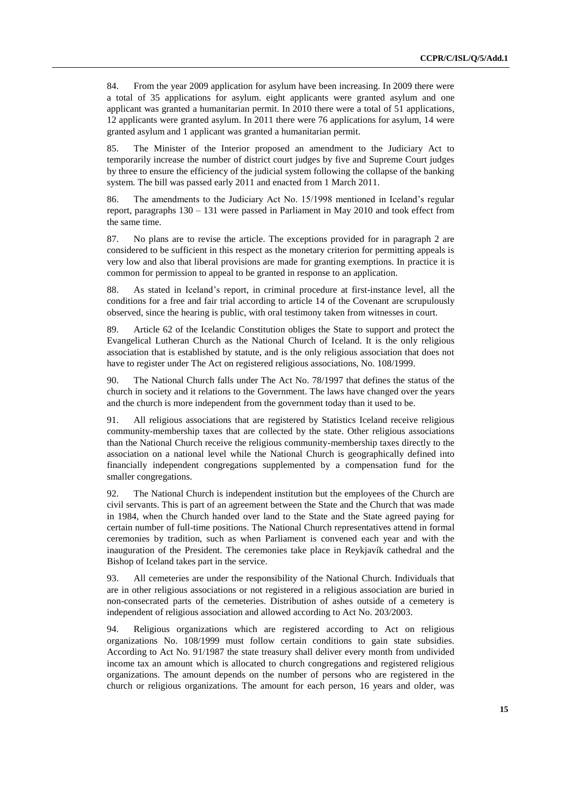84. From the year 2009 application for asylum have been increasing. In 2009 there were a total of 35 applications for asylum. eight applicants were granted asylum and one applicant was granted a humanitarian permit. In 2010 there were a total of 51 applications, 12 applicants were granted asylum. In 2011 there were 76 applications for asylum, 14 were granted asylum and 1 applicant was granted a humanitarian permit.

85. The Minister of the Interior proposed an amendment to the Judiciary Act to temporarily increase the number of district court judges by five and Supreme Court judges by three to ensure the efficiency of the judicial system following the collapse of the banking system. The bill was passed early 2011 and enacted from 1 March 2011.

86. The amendments to the Judiciary Act No. 15/1998 mentioned in Iceland"s regular report, paragraphs 130 – 131 were passed in Parliament in May 2010 and took effect from the same time.

87. No plans are to revise the article. The exceptions provided for in paragraph 2 are considered to be sufficient in this respect as the monetary criterion for permitting appeals is very low and also that liberal provisions are made for granting exemptions. In practice it is common for permission to appeal to be granted in response to an application.

88. As stated in Iceland"s report, in criminal procedure at first-instance level, all the conditions for a free and fair trial according to article 14 of the Covenant are scrupulously observed, since the hearing is public, with oral testimony taken from witnesses in court.

89. Article 62 of the Icelandic Constitution obliges the State to support and protect the Evangelical Lutheran Church as the National Church of Iceland. It is the only religious association that is established by statute, and is the only religious association that does not have to register under The Act on registered religious associations, No. 108/1999.

90. The National Church falls under The Act No. 78/1997 that defines the status of the church in society and it relations to the Government. The laws have changed over the years and the church is more independent from the government today than it used to be.

91. All religious associations that are registered by Statistics Iceland receive religious community-membership taxes that are collected by the state. Other religious associations than the National Church receive the religious community-membership taxes directly to the association on a national level while the National Church is geographically defined into financially independent congregations supplemented by a compensation fund for the smaller congregations.

92. The National Church is independent institution but the employees of the Church are civil servants. This is part of an agreement between the State and the Church that was made in 1984, when the Church handed over land to the State and the State agreed paying for certain number of full-time positions. The National Church representatives attend in formal ceremonies by tradition, such as when Parliament is convened each year and with the inauguration of the President. The ceremonies take place in Reykjavík cathedral and the Bishop of Iceland takes part in the service.

93. All cemeteries are under the responsibility of the National Church. Individuals that are in other religious associations or not registered in a religious association are buried in non-consecrated parts of the cemeteries. Distribution of ashes outside of a cemetery is independent of religious association and allowed according to Act No. 203/2003.

94. Religious organizations which are registered according to Act on religious organizations No. 108/1999 must follow certain conditions to gain state subsidies. According to Act No. 91/1987 the state treasury shall deliver every month from undivided income tax an amount which is allocated to church congregations and registered religious organizations. The amount depends on the number of persons who are registered in the church or religious organizations. The amount for each person, 16 years and older, was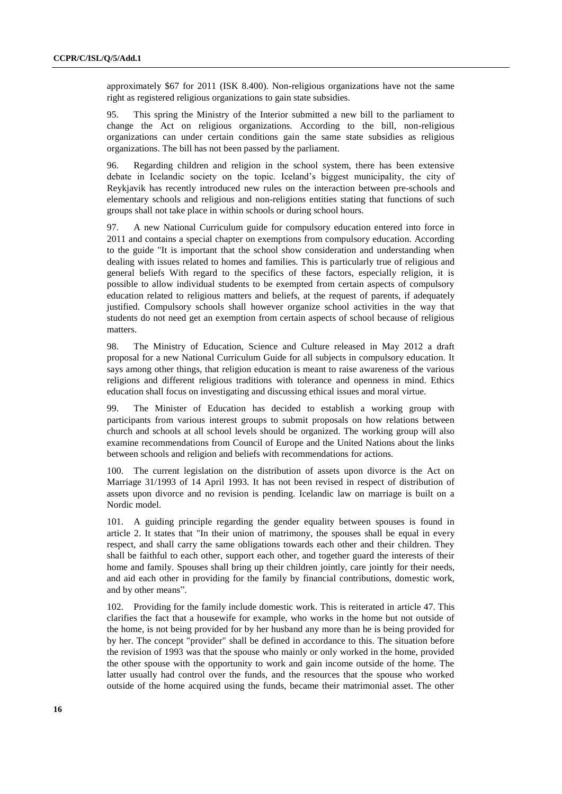approximately \$67 for 2011 (ISK 8.400). Non-religious organizations have not the same right as registered religious organizations to gain state subsidies.

95. This spring the Ministry of the Interior submitted a new bill to the parliament to change the Act on religious organizations. According to the bill, non-religious organizations can under certain conditions gain the same state subsidies as religious organizations. The bill has not been passed by the parliament.

96. Regarding children and religion in the school system, there has been extensive debate in Icelandic society on the topic. Iceland"s biggest municipality, the city of Reykjavik has recently introduced new rules on the interaction between pre-schools and elementary schools and religious and non-religions entities stating that functions of such groups shall not take place in within schools or during school hours.

97. A new National Curriculum guide for compulsory education entered into force in 2011 and contains a special chapter on exemptions from compulsory education. According to the guide "It is important that the school show consideration and understanding when dealing with issues related to homes and families. This is particularly true of religious and general beliefs With regard to the specifics of these factors, especially religion, it is possible to allow individual students to be exempted from certain aspects of compulsory education related to religious matters and beliefs, at the request of parents, if adequately justified. Compulsory schools shall however organize school activities in the way that students do not need get an exemption from certain aspects of school because of religious matters.

98. The Ministry of Education, Science and Culture released in May 2012 a draft proposal for a new National Curriculum Guide for all subjects in compulsory education. It says among other things, that religion education is meant to raise awareness of the various religions and different religious traditions with tolerance and openness in mind. Ethics education shall focus on investigating and discussing ethical issues and moral virtue.

99. The Minister of Education has decided to establish a working group with participants from various interest groups to submit proposals on how relations between church and schools at all school levels should be organized. The working group will also examine recommendations from Council of Europe and the United Nations about the links between schools and religion and beliefs with recommendations for actions.

100. The current legislation on the distribution of assets upon divorce is the Act on Marriage 31/1993 of 14 April 1993. It has not been revised in respect of distribution of assets upon divorce and no revision is pending. Icelandic law on marriage is built on a Nordic model.

101. A guiding principle regarding the gender equality between spouses is found in article 2. It states that "In their union of matrimony, the spouses shall be equal in every respect, and shall carry the same obligations towards each other and their children. They shall be faithful to each other, support each other, and together guard the interests of their home and family. Spouses shall bring up their children jointly, care jointly for their needs, and aid each other in providing for the family by financial contributions, domestic work, and by other means".

102. Providing for the family include domestic work. This is reiterated in article 47. This clarifies the fact that a housewife for example, who works in the home but not outside of the home, is not being provided for by her husband any more than he is being provided for by her. The concept "provider" shall be defined in accordance to this. The situation before the revision of 1993 was that the spouse who mainly or only worked in the home, provided the other spouse with the opportunity to work and gain income outside of the home. The latter usually had control over the funds, and the resources that the spouse who worked outside of the home acquired using the funds, became their matrimonial asset. The other